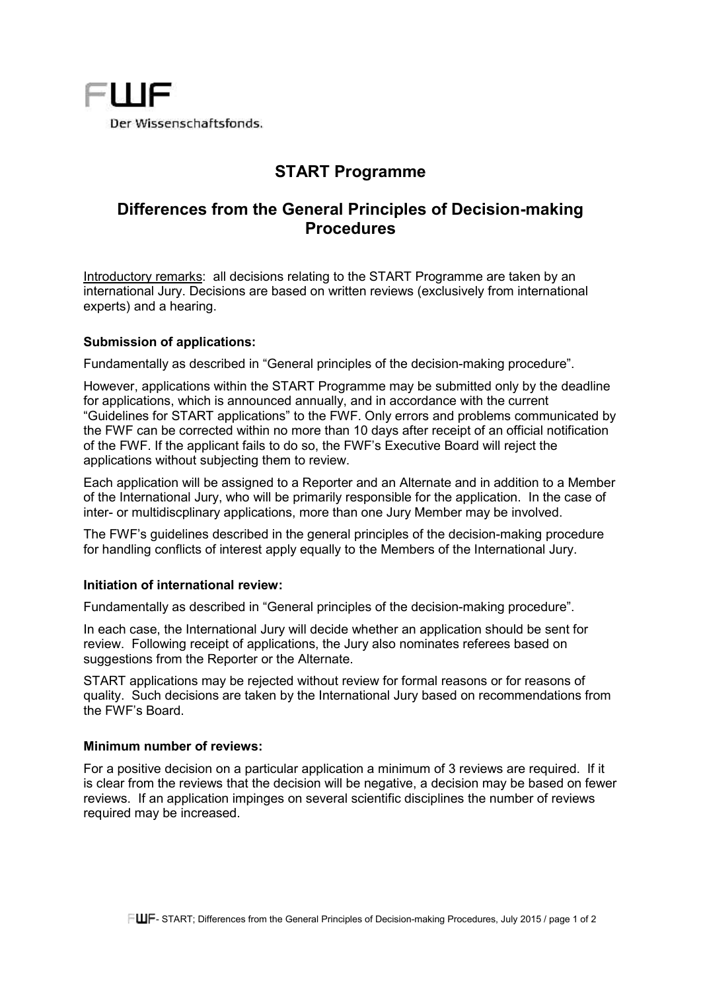

# **START Programme**

## **Differences from the General Principles of Decision-making Procedures**

Introductory remarks: all decisions relating to the START Programme are taken by an international Jury. Decisions are based on written reviews (exclusively from international experts) and a hearing.

## **Submission of applications:**

Fundamentally as described in "General principles of the decision-making procedure".

However, applications within the START Programme may be submitted only by the deadline for applications, which is announced annually, and in accordance with the current "Guidelines for START applications" to the FWF. Only errors and problems communicated by the FWF can be corrected within no more than 10 days after receipt of an official notification of the FWF. If the applicant fails to do so, the FWF's Executive Board will reject the applications without subjecting them to review.

Each application will be assigned to a Reporter and an Alternate and in addition to a Member of the International Jury, who will be primarily responsible for the application. In the case of inter- or multidiscplinary applications, more than one Jury Member may be involved.

The FWF's guidelines described in the general principles of the decision-making procedure for handling conflicts of interest apply equally to the Members of the International Jury.

## **Initiation of international review:**

Fundamentally as described in "General principles of the decision-making procedure".

In each case, the International Jury will decide whether an application should be sent for review. Following receipt of applications, the Jury also nominates referees based on suggestions from the Reporter or the Alternate.

START applications may be rejected without review for formal reasons or for reasons of quality. Such decisions are taken by the International Jury based on recommendations from the FWF's Board.

#### **Minimum number of reviews:**

For a positive decision on a particular application a minimum of 3 reviews are required. If it is clear from the reviews that the decision will be negative, a decision may be based on fewer reviews. If an application impinges on several scientific disciplines the number of reviews required may be increased.